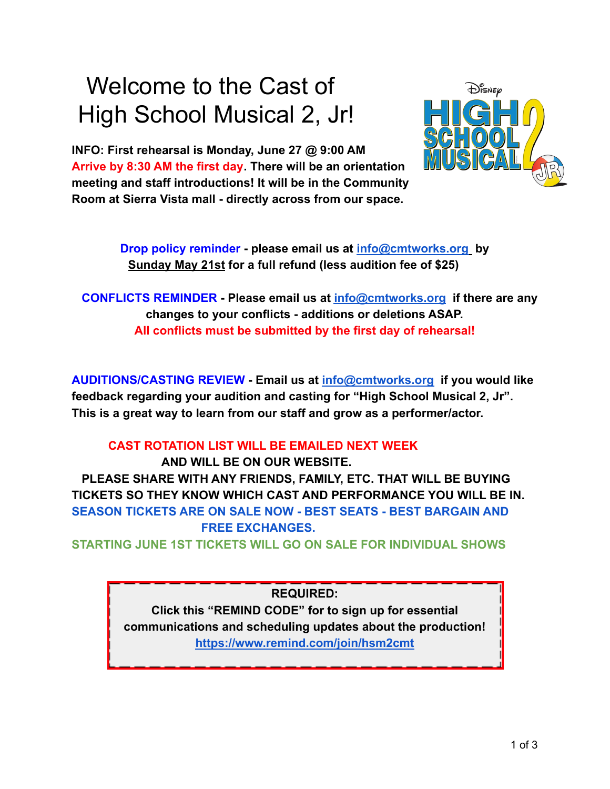## Welcome to the Cast of High School Musical 2, Jr!

**INFO: First rehearsal is Monday, June 27 @ 9:00 AM Arrive by 8:30 AM the first day. There will be an orientation meeting and staff introductions! It will be in the Community Room at Sierra Vista mall - directly across from our space.**



**Drop policy reminder - please email us at [info@cmtworks.org](mailto:info@cmtworks.org) by Sunday May 21st for a full refund (less audition fee of \$25)**

**CONFLICTS REMINDER - Please email us at [info@cmtworks.org](mailto:info@cmtworks.org) if there are any changes to your conflicts - additions or deletions ASAP. All conflicts must be submitted by the first day of rehearsal!**

**AUDITIONS/CASTING REVIEW - Email us at [info@cmtworks.org](mailto:info@cmtworks.org) if you would like feedback regarding your audition and casting for "High School Musical 2, Jr". This is a great way to learn from our staff and grow as a performer/actor.**

## **CAST ROTATION LIST WILL BE EMAILED NEXT WEEK**

**AND WILL BE ON OUR WEBSITE. PLEASE SHARE WITH ANY FRIENDS, FAMILY, ETC. THAT WILL BE BUYING TICKETS SO THEY KNOW WHICH CAST AND PERFORMANCE YOU WILL BE IN. SEASON TICKETS ARE ON SALE NOW - BEST SEATS - BEST BARGAIN AND FREE EXCHANGES.**

**STARTING JUNE 1ST TICKETS WILL GO ON SALE FOR INDIVIDUAL SHOWS**

**REQUIRED:**

**Click this "REMIND CODE" for to sign up for essential communications and scheduling updates about the production! <https://www.remind.com/join/hsm2cmt>**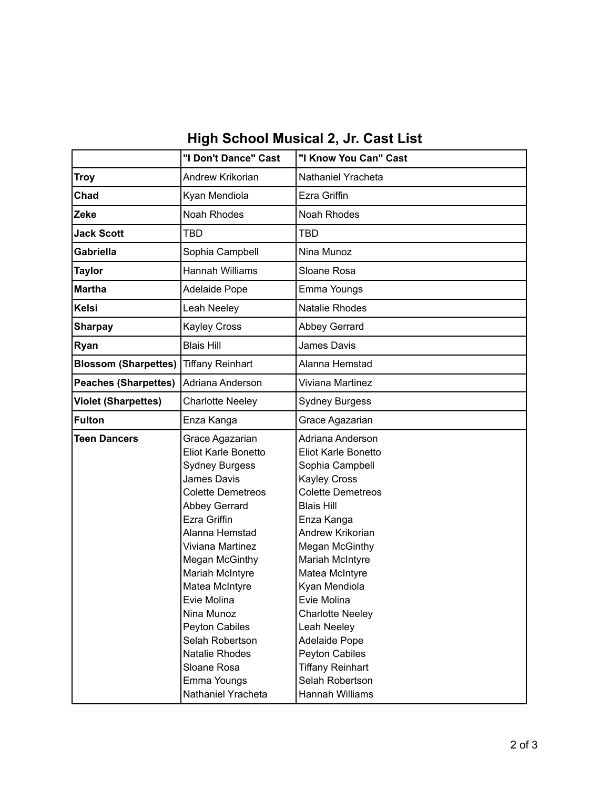|                             | "I Don't Dance" Cast                                                                                                                                                                                                                                                                                                                                                                                                | "I Know You Can" Cast                                                                                                                                                                                                                                                                                                                                                                                            |
|-----------------------------|---------------------------------------------------------------------------------------------------------------------------------------------------------------------------------------------------------------------------------------------------------------------------------------------------------------------------------------------------------------------------------------------------------------------|------------------------------------------------------------------------------------------------------------------------------------------------------------------------------------------------------------------------------------------------------------------------------------------------------------------------------------------------------------------------------------------------------------------|
| <b>Troy</b>                 | Andrew Krikorian                                                                                                                                                                                                                                                                                                                                                                                                    | Nathaniel Yracheta                                                                                                                                                                                                                                                                                                                                                                                               |
| Chad                        | Kyan Mendiola                                                                                                                                                                                                                                                                                                                                                                                                       | <b>Ezra Griffin</b>                                                                                                                                                                                                                                                                                                                                                                                              |
| <b>Zeke</b>                 | Noah Rhodes                                                                                                                                                                                                                                                                                                                                                                                                         | Noah Rhodes                                                                                                                                                                                                                                                                                                                                                                                                      |
| <b>Jack Scott</b>           | <b>TBD</b>                                                                                                                                                                                                                                                                                                                                                                                                          | <b>TBD</b>                                                                                                                                                                                                                                                                                                                                                                                                       |
| Gabriella                   | Sophia Campbell                                                                                                                                                                                                                                                                                                                                                                                                     | Nina Munoz                                                                                                                                                                                                                                                                                                                                                                                                       |
| <b>Taylor</b>               | <b>Hannah Williams</b>                                                                                                                                                                                                                                                                                                                                                                                              | Sloane Rosa                                                                                                                                                                                                                                                                                                                                                                                                      |
| <b>Martha</b>               | <b>Adelaide Pope</b>                                                                                                                                                                                                                                                                                                                                                                                                | Emma Youngs                                                                                                                                                                                                                                                                                                                                                                                                      |
| Kelsi                       | Leah Neeley                                                                                                                                                                                                                                                                                                                                                                                                         | <b>Natalie Rhodes</b>                                                                                                                                                                                                                                                                                                                                                                                            |
| <b>Sharpay</b>              | <b>Kayley Cross</b>                                                                                                                                                                                                                                                                                                                                                                                                 | Abbey Gerrard                                                                                                                                                                                                                                                                                                                                                                                                    |
| Ryan                        | <b>Blais Hill</b>                                                                                                                                                                                                                                                                                                                                                                                                   | James Davis                                                                                                                                                                                                                                                                                                                                                                                                      |
| <b>Blossom (Sharpettes)</b> | <b>Tiffany Reinhart</b>                                                                                                                                                                                                                                                                                                                                                                                             | Alanna Hemstad                                                                                                                                                                                                                                                                                                                                                                                                   |
| <b>Peaches (Sharpettes)</b> | Adriana Anderson                                                                                                                                                                                                                                                                                                                                                                                                    | Viviana Martinez                                                                                                                                                                                                                                                                                                                                                                                                 |
| <b>Violet (Sharpettes)</b>  | <b>Charlotte Neeley</b>                                                                                                                                                                                                                                                                                                                                                                                             | <b>Sydney Burgess</b>                                                                                                                                                                                                                                                                                                                                                                                            |
| Fulton                      | Enza Kanga                                                                                                                                                                                                                                                                                                                                                                                                          | Grace Agazarian                                                                                                                                                                                                                                                                                                                                                                                                  |
| <b>Teen Dancers</b>         | Grace Agazarian<br>Eliot Karle Bonetto<br><b>Sydney Burgess</b><br><b>James Davis</b><br><b>Colette Demetreos</b><br><b>Abbey Gerrard</b><br><b>Ezra Griffin</b><br>Alanna Hemstad<br>Viviana Martinez<br>Megan McGinthy<br><b>Mariah McIntyre</b><br>Matea McIntyre<br>Evie Molina<br>Nina Munoz<br><b>Peyton Cabiles</b><br>Selah Robertson<br>Natalie Rhodes<br>Sloane Rosa<br>Emma Youngs<br>Nathaniel Yracheta | Adriana Anderson<br>Eliot Karle Bonetto<br>Sophia Campbell<br><b>Kayley Cross</b><br><b>Colette Demetreos</b><br><b>Blais Hill</b><br>Enza Kanga<br>Andrew Krikorian<br>Megan McGinthy<br>Mariah McIntyre<br>Matea McIntyre<br>Kyan Mendiola<br>Evie Molina<br><b>Charlotte Neeley</b><br>Leah Neeley<br>Adelaide Pope<br>Peyton Cabiles<br><b>Tiffany Reinhart</b><br>Selah Robertson<br><b>Hannah Williams</b> |